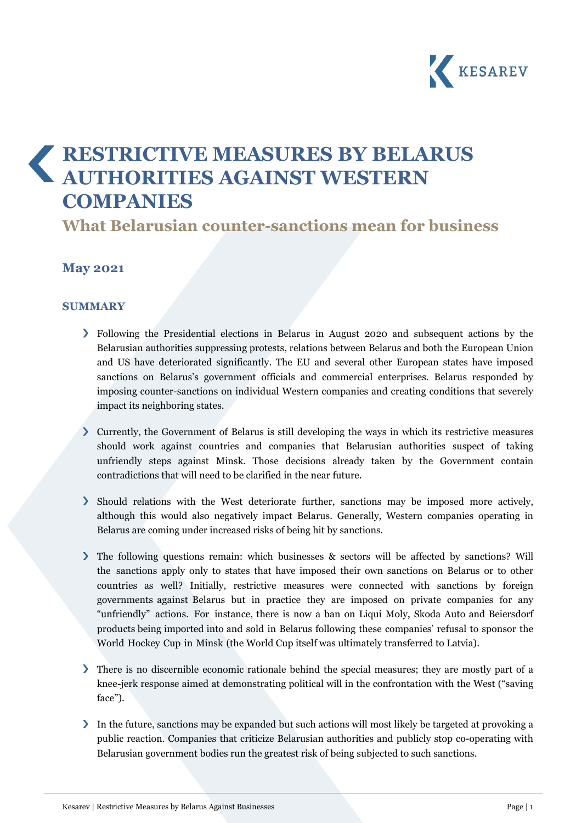

# **RESTRICTIVE MEASURES BY BELARUS AUTHORITIES AGAINST WESTERN COMPANIES**

**What Belarusian counter-sanctions mean for business**

# **May 2021**

#### **SUMMARY**

- Following the Presidential elections in Belarus in August 2020 and subsequent actions by the Belarusian authorities suppressing protests, relations between Belarus and both the European Union and US have deteriorated significantly. The EU and several other European states have imposed sanctions on Belarus's government officials and commercial enterprises. Belarus responded by imposing counter-sanctions on individual Western companies and creating conditions that severely impact its neighboring states.
- Currently, the Government of Belarus is still developing the ways in which its restrictive measures should work against countries and companies that Belarusian authorities suspect of taking unfriendly steps against Minsk. Those decisions already taken by the Government contain contradictions that will need to be clarified in the near future.
- Should relations with the West deteriorate further, sanctions may be imposed more actively, although this would also negatively impact Belarus. Generally, Western companies operating in Belarus are coming under increased risks of being hit by sanctions.
- The following questions remain: which businesses & sectors will be affected by sanctions? Will the sanctions apply only to states that have imposed their own sanctions on Belarus or to other countries as well? Initially, restrictive measures were connected with sanctions by foreign governments against Belarus but in practice they are imposed on private companies for any "unfriendly" actions. For instance, there is now a ban on Liqui Moly, Skoda Auto and Beiersdorf products being imported into and sold in Belarus following these companies' refusal to sponsor the World Hockey Cup in Minsk (the World Cup itself was ultimately transferred to Latvia).
- There is no discernible economic rationale behind the special measures; they are mostly part of a knee-jerk response aimed at demonstrating political will in the confrontation with the West ("saving face").
- In the future, sanctions may be expanded but such actions will most likely be targeted at provoking a public reaction. Companies that criticize Belarusian authorities and publicly stop co-operating with Belarusian government bodies run the greatest risk of being subjected to such sanctions.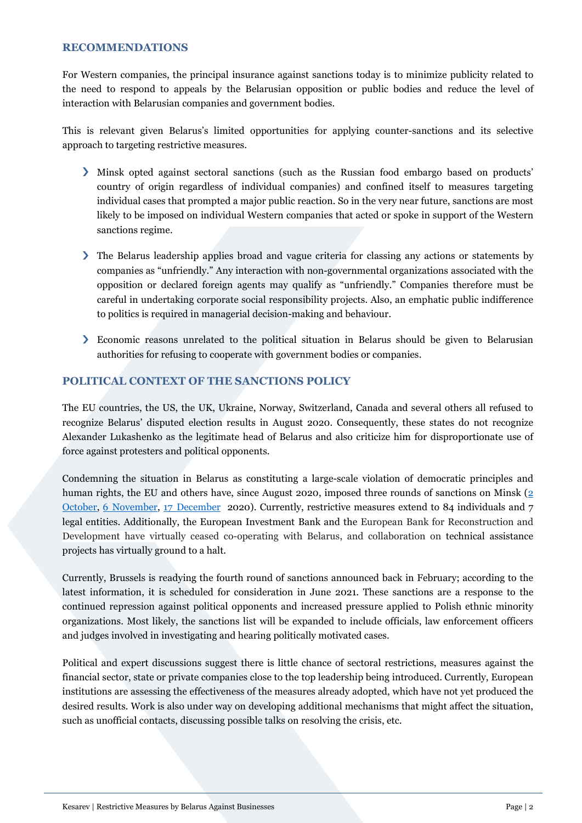#### **RECOMMENDATIONS**

For Western companies, the principal insurance against sanctions today is to minimize publicity related to the need to respond to appeals by the Belarusian opposition or public bodies and reduce the level of interaction with Belarusian companies and government bodies.

This is relevant given Belarus's limited opportunities for applying counter-sanctions and its selective approach to targeting restrictive measures.

- Minsk opted against sectoral sanctions (such as the Russian food embargo based on products' country of origin regardless of individual companies) and confined itself to measures targeting individual cases that prompted a major public reaction. So in the very near future, sanctions are most likely to be imposed on individual Western companies that acted or spoke in support of the Western sanctions regime.
- The Belarus leadership applies broad and vague criteria for classing any actions or statements by companies as "unfriendly." Any interaction with non-governmental organizations associated with the opposition or declared foreign agents may qualify as "unfriendly." Companies therefore must be careful in undertaking corporate social responsibility projects. Also, an emphatic public indifference to politics is required in managerial decision-making and behaviour.
- Economic reasons unrelated to the political situation in Belarus should be given to Belarusian authorities for refusing to cooperate with government bodies or companies.

#### **POLITICAL CONTEXT OF THE SANCTIONS POLICY**

The EU countries, the US, the UK, Ukraine, Norway, Switzerland, Canada and several others all refused to recognize Belarus' disputed election results in August 2020. Consequently, these states do not recognize Alexander Lukashenko as the legitimate head of Belarus and also criticize him for disproportionate use of force against protesters and political opponents.

Condemning the situation in Belarus as constituting a large-scale violation of democratic principles and human rights, the EU and others have, since August 2020, imposed three rounds of sanctions on Minsk [\(2](https://eur-lex.europa.eu/legal-content/en/TXT/PDF/?uri=OJ:L:2020:319I:FULL&from=EN)) [October,](https://eur-lex.europa.eu/legal-content/en/TXT/PDF/?uri=OJ:L:2020:319I:FULL&from=EN) 6 [November,](https://eur-lex.europa.eu/legal-content/EN/TXT/PDF/?uri=OJ:L:2020:370I:FULL&from=EN) 17 [December](https://eur-lex.europa.eu/legal-content/EN/TXT/PDF/?uri=OJ:L:2020:426I:FULL&from=EN) 2020). Currently, restrictive measures extend to 84 individuals and 7 legal entities. Additionally, the European Investment Bank and the European Bank for Reconstruction and Development have virtually ceased co-operating with Belarus, and collaboration on technical assistance projects has virtually ground to a halt.

Currently, Brussels is readying the fourth round of sanctions announced back in February; according to the latest information, it is scheduled for consideration in June 2021. These sanctions are a response to the continued repression against political opponents and increased pressure applied to Polish ethnic minority organizations. Most likely, the sanctions list will be expanded to include officials, law enforcement officers and judges involved in investigating and hearing politically motivated cases.

Political and expert discussions suggest there is little chance of sectoral restrictions, measures against the financial sector, state or private companies close to the top leadership being introduced. Currently, European institutions are assessing the effectiveness of the measures already adopted, which have not yet produced the desired results. Work is also under way on developing additional mechanisms that might affect the situation, such as unofficial contacts, discussing possible talks on resolving the crisis, etc.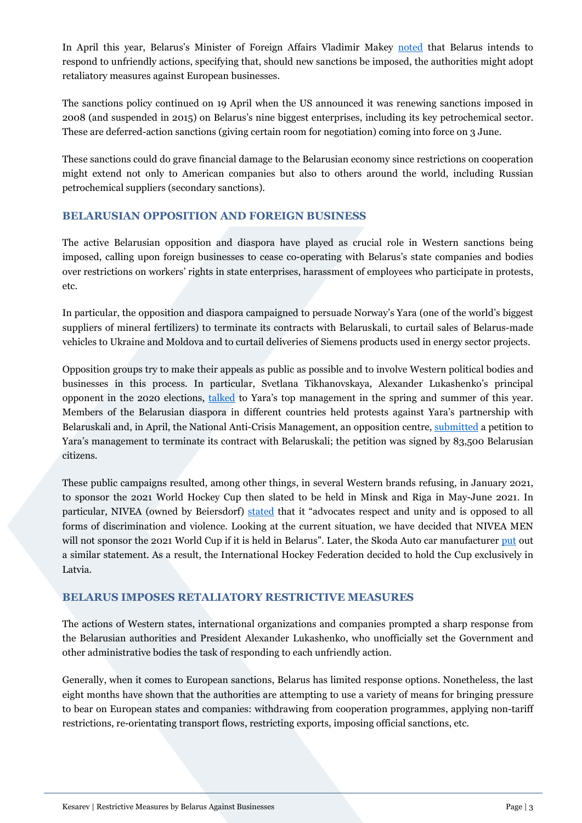In April this year, Belarus's Minister of Foreign Affairs Vladimir Makey [noted](https://www.belta.by/politics/view/makej-zapadu-davajte-ne-povtorjat-oshibok-proshlogo-ne-nado-organizovyvat-v-belarusi-revoljutsii-436651-2021/) that Belarus intends to respond to unfriendly actions, specifying that, should new sanctions be imposed, the authorities might adopt retaliatory measures against European businesses.

The sanctions policy continued on 19 April when the US announced it was renewing sanctions imposed in 2008 (and suspended in 2015) on Belarus's nine biggest enterprises, including its key petrochemical sector. These are deferred-action sanctions (giving certain room for negotiation) coming into force on 3 June.

These sanctions could do grave financial damage to the Belarusian economy since restrictions on cooperation might extend not only to American companies but also to others around the world, including Russian petrochemical suppliers (secondary sanctions).

## **BELARUSIAN OPPOSITION AND FOREIGN BUSINESS**

The active Belarusian opposition and diaspora have played as crucial role in Western sanctions being imposed, calling upon foreign businesses to cease co-operating with Belarus's state companies and bodies over restrictions on workers' rights in state enterprises, harassment of employees who participate in protests, etc.

In particular, the opposition and diaspora campaigned to persuade Norway's Yara (one of the world's biggest suppliers of mineral fertilizers) to terminate its contracts with Belaruskali, to curtail sales of Belarus-made vehicles to Ukraine and Moldova and to curtail deliveries of Siemens products used in energy sector projects.

Opposition groups try to make their appeals as public as possible and to involve Western political bodies and businesses in this process. In particular, Svetlana Tikhanovskaya, Alexander Lukashenko's principal opponent in the 2020 elections, [talked](https://news.tut.by/economics/721417.html) to Yara's top management in the spring and summer of this year. Members of the Belarusian diaspora in different countries held protests against Yara's partnership with Belaruskali and, in April, the National Anti-Crisis Management, an opposition centre, [submitted](https://belarus-nau.org/tpost/doyl9ru491-835-tisyachi-belarusov-podpisali-petitsi) a petition to Yara's management to terminate its contract with Belaruskali; the petition was signed by 83,500 Belarusian citizens.

These public campaigns resulted, among other things, in several Western brands refusing, in January 2021, to sponsor the 2021 World Hockey Cup then slated to be held in Minsk and Riga in May-June 2021. In particular, NIVEA (owned by Beiersdorf) [stated](https://sport.tut.by/news/hockey/715034.html) that it "advocates respect and unity and is opposed to all forms of discrimination and violence. Looking at the current situation, we have decided that NIVEA MEN will not sponsor the 2021 World Cup if it is held in Belarus". Later, the Skoda Auto car manufacturer [put](https://www.kommersant.ru/doc/4652197) out a similar statement. As a result, the International Hockey Federation decided to hold the Cup exclusively in Latvia.

### **BELARUS IMPOSES RETALIATORY RESTRICTIVE MEASURES**

The actions of Western states, international organizations and companies prompted a sharp response from the Belarusian authorities and President Alexander Lukashenko, who unofficially set the Government and other administrative bodies the task of responding to each unfriendly action.

Generally, when it comes to European sanctions, Belarus has limited response options. Nonetheless, the last eight months have shown that the authorities are attempting to use a variety of means for bringing pressure to bear on European states and companies: withdrawing from cooperation programmes, applying non-tariff restrictions, re-orientating transport flows, restricting exports, imposing official sanctions, etc.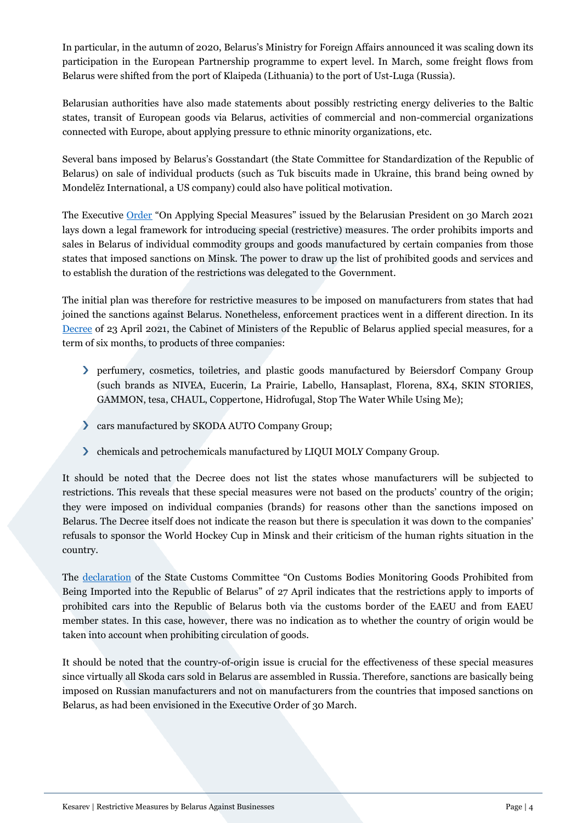In particular, in the autumn of 2020, Belarus's Ministry for Foreign Affairs announced it was scaling down its participation in the European Partnership programme to expert level. In March, some freight flows from Belarus were shifted from the port of Klaipeda (Lithuania) to the port of Ust-Luga (Russia).

Belarusian authorities have also made statements about possibly restricting energy deliveries to the Baltic states, transit of European goods via Belarus, activities of commercial and non-commercial organizations connected with Europe, about applying pressure to ethnic minority organizations, etc.

Several bans imposed by Belarus's Gosstandart (the State Committee for Standardization of the Republic of Belarus) on sale of individual products (such as Tuk biscuits made in Ukraine, this brand being owned by Mondelēz International, a US company) could also have political motivation.

The Executive [Order](https://pravo.by/document/?guid=12551&p0=P32100128&p1=1) "On Applying Special Measures" issued by the Belarusian President on 30 March 2021 lays down a legal framework for introducing special (restrictive) measures. The order prohibits imports and sales in Belarus of individual commodity groups and goods manufactured by certain companies from those states that imposed sanctions on Minsk. The power to draw up the list of prohibited goods and services and to establish the duration of the restrictions was delegated to the Government.

The initial plan was therefore for restrictive measures to be imposed on manufacturers from states that had joined the sanctions against Belarus. Nonetheless, enforcement practices went in a different direction. In its [Decree](https://pravo.by/document/?guid=12551&p0=C22100240&p1=1) of 23 April 2021, the Cabinet of Ministers of the Republic of Belarus applied special measures, for a term of six months, to products of three companies:

- perfumery, cosmetics, toiletries, and plastic goods manufactured by Beiersdorf Company Group (such brands as NIVEA, Eucerin, La Prairie, Labello, Hansaplast, Florena, 8X4, SKIN STORIES, GAMMON, tesa, CHAUL, Coppertone, Hidrofugal, Stop The Water While Using Me);
- cars manufactured by SKODA AUTO Company Group;
- chemicals and petrochemicals manufactured by LIQUI MOLY Company Group.

It should be noted that the Decree does not list the states whose manufacturers will be subjected to restrictions. This reveals that these special measures were not based on the products' country of the origin; they were imposed on individual companies (brands) for reasons other than the sanctions imposed on Belarus. The Decree itself does not indicate the reason but there is speculation it was down to the companies' refusals to sponsor the World Hockey Cup in Minsk and their criticism of the human rights situation in the country.

The [declaration](https://www.customs.gov.by/ru/news1-ru/view/o-kontrole-tamozhennymi-organami-tovarov-zapreschennyx-k-vvozu-na-territoriju-respubliki-belarus-16766-2021/) of the State Customs Committee "On Customs Bodies Monitoring Goods Prohibited from Being Imported into the Republic of Belarus" of 27 April indicates that the restrictions apply to imports of prohibited cars into the Republic of Belarus both via the customs border of the EAEU and from EAEU member states. In this case, however, there was no indication as to whether the country of origin would be taken into account when prohibiting circulation of goods.

It should be noted that the country-of-origin issue is crucial for the effectiveness of these special measures since virtually all Skoda cars sold in Belarus are assembled in Russia. Therefore, sanctions are basically being imposed on Russian manufacturers and not on manufacturers from the countries that imposed sanctions on Belarus, as had been envisioned in the Executive Order of 30 March.